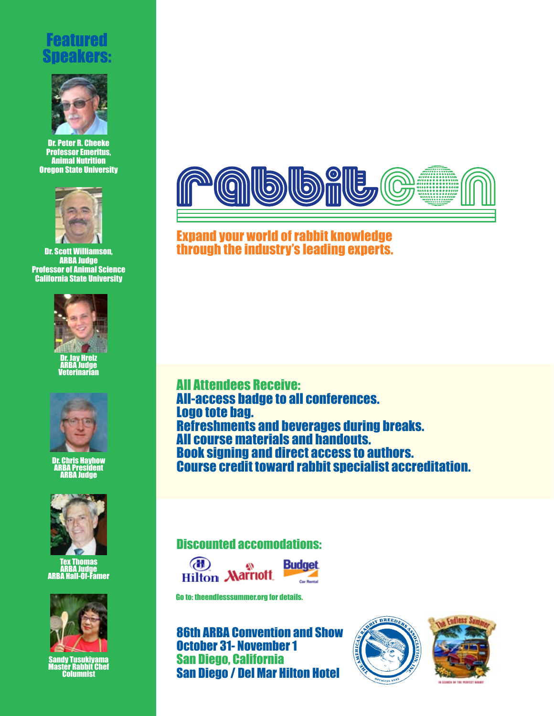## Featured Speakers:



Dr. Peter R. Cheeke Professor Emeritus, Animal Nutrition Oregon State University



Dr. Scott Williamson, ARBA Judge Professor of Animal Science California State University



Dr. Jay Hreiz ARBA Judge Veterinarian



Dr. Chris Hayhow ARBA President ARBA Judge



Tex Thomas ARBA Judge ARBA Hall-Of-Famer



Sandy Tusukiyama Master Rabbit Chef Columnist



Expand your world of rabbit knowledge through the industry's leading experts.

All Attendees Receive: All-access badge to all conferences. Logo tote bag. Refreshments and beverages during breaks. All course materials and handouts. Book signing and direct access to authors. Course credit toward rabbit specialist accreditation.

## Discounted accomodations:





Go to: theendlesssummer.org for details.

86th ARBA Convention and Show October 31- November 1 San Diego, California San Diego / Del Mar Hilton Hotel



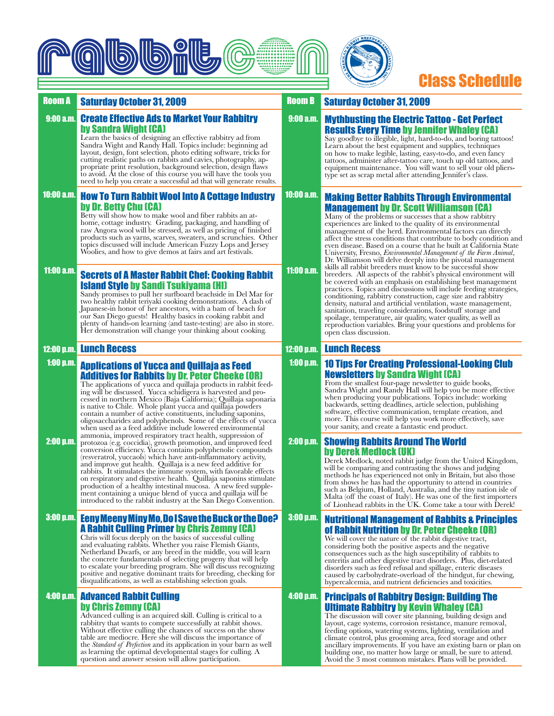

# Class Schedule

### Room A Saturday October 31, 2009 **Broom B** Room B

#### Create Effective Ads to Market Your Rabbitry by Sandra Wight (CA) 9:00 a.m.

Learn the basics of designing an effective rabbitry ad from Sandra Wight and Randy Hall. Topics include: beginning ad layout, design, font selection, photo editing software, tricks for cutting realistic paths on rabbits and cavies, photography, ap- propriate print resolution, background selection, design flaws to avoid. At the close of this course you will have the tools you need to help you create a successful ad that will generate results.

### How To Turn Rabbit Wool Into A Cottage Industry by Dr. Betty Chu (CA) 10:00 a.m.

Betty will show how to make wool and fiber rabbits an athome, cottage industry. Grading, packaging, and handling of raw Angora wool will be stressed, as well as pricing of finished products such as yarns, scarves, sweaters, and scrunchies. Other topics discussed will include American Fuzzy Lops and Jersey Woolies, and how to give demos at fairs and art festivals.

### Secrets of A Master Rabbit Chef: Cooking Rabbit Island Style by Sandi Tsukiyama (HI) 11:00 a.m.

Sandy promises to pull her surfboard beachside in Del Mar for two healthy rabbit teriyaki cooking demonstrations. A dash of Japanese-in honor of her ancestors, with a bam of beach for our San Diego guests! Healthy basics in cooking rabbit and plenty of hands-on learning (and taste-testing) are also in store. Her demonstration will change your thinking about cooking.

### 12:00 p.m. Lunch Recess

### Applications of Yucca and Quillaja as Feed Additives for Rabbits by Dr. Peter Cheeke (OR) 1:00 p.m.

The applications of yucca and quillaja products in rabbit feed- ing will be discussed. Yucca schidigera is harvested and pro- cessed in northern Mexico (Baja California); Quillaja saponaria is native to Chile. Whole plant yucca and quillaja powders contain a number of active constituents, including saponins, oligosaccharides and polyphenols. Some of the effects of yucca when used as a feed additive include lowered environmental ammonia, improved respiratory tract health, suppression of

protozoa (e.g. coccidia), growth promotion, and improved feed conversion efficiency. Yucca contains polyphenolic compounds (resveratrol, yuccaols) which have anti-inflammatory activity, and improve gut health. Quillaja is a new feed additive for rabbits. It stimulates the immune system, with favorable effects on respiratory and digestive health. Quillaja saponins stimulate production of a healthy intestinal mucosa. A new feed supplement containing a unique blend of yucca and quillaja will be introduced to the rabbit industry at the San Diego Convention. 2:00 p.m.

### Eeny Meeny Miny Mo, Do I Save the Buck or the Doe? 3:00 p.m. A Rabbit Culling Primer by Chris Zemny (CA)

Chris will focus deeply on the basics of successful culling and evaluating rabbits. Whether you raise Flemish Giants, Netherland Dwarfs, or any breed in the middle, you will learn the concrete fundamentals of selecting progeny that will help to escalate your breeding program. She will discuss recognizing positive and negative dominant traits for breeding, checking for disqualifications, as well as establishing selection goals.

### Advanced Rabbit Culling by Chris Zemny (CA) 4:00 p.m.

Advanced culling is an acquired skill. Culling is critical to a rabbitry that wants to compete successfully at rabbit shows. Without effective culling the chances of success on the show table are mediocre. Here she will discuss the importance of the *Standard of Perfection* and its application in your barn as well as learning the optimal developmental stages for culling. A question and answer session will allow participation.

### **Saturday October 31, 2009**

### Mythbusting the Electric Tattoo - Get Perfect Results Every Time by Jennifer Whaley (CA) 9:00 a.m.

Say goodbye to illegible, light, hard-to-do, and boring tattoos! Learn about the best equipment and supplies, techniques on how to make legible, lasting, easy-to-do, and even fancy tattoos, administer after-tattoo care, touch up old tattoos, and equipment maintenance. You will want to sell your old pliers-type set as scrap metal after attending Jennifer's class.

### Making Better Rabbits Through Environmental Management by Dr. Scott Williamson (CA) 10:00 a.m.

Many of the problems or successes that a show rabbitry experiences are linked to the quality of its environmental management of the herd. Environmental factors can directly affect the stress conditions that contribute to body condition and even disease. Based on a course that he built at California State<br>University, Fresno, *Environmental Management of the Farm Animal*, Dr. Williamson will delve deeply into the pivotal management skills all rabbit breeders must know to be successful show breeders. All aspects of the rabbit's physical environment will be covered with an emphasis on establishing best management practices. Topics and discussions will include feeding strategies, conditioning, rabbitry construction, cage size and rabbitry density, natural and artificial ventilation, waste management, sanitation, traveling considerations, foodstuff storage and spoilage, temperature, air quality, water quality, as well as reproduction variables. Bring your questions and problems for open class discussion.

#### Lunch Recess 12:00 p.m.

11:00 a.m.

### 10 Tips For Creating Professional-Looking Club Newsletters by Sandra Wight (CA) 1:00 p.m.

From the smallest four-page newsletter to guide books, Sandra Wight and Randy Hall will help you be more effective when producing your publications. Topics include: working backwards, setting deadlines, article selection, publishing software, effective communication, template creation, and more. This course will help you work more effectively, save your sanity, and create a fantastic end product.

#### Showing Rabbits Around The World by Derek Medlock (UK) 2:00 p.m.

Derek Medlock, noted rabbit judge from the United Kingdom, will be comparing and contrasting the shows and judging methods he has experienced not only in Britain, but also those from shows he has had the opportunity to attend in countries such as Belgium, Holland, Australia, and the tiny nation isle of Malta (off the coast of Italy). He was one of the first importers of Lionhead rabbits in the UK. Come take a tour with Derek!

### Nutritional Management of Rabbits & Principles of Rabbit Nutrition by Dr. Peter Cheeke (OR) 3:00 p.m.

We will cover the nature of the rabbit digestive tract, considering both the positive aspects and the negative consequences such as the high susceptibility of rabbits to enteritis and other digestive tract disorders. Plus, diet-related disorders such as feed refusal and spillage, enteric diseases caused by carbohydrate-overload of the hindgut, fur chewing, hypercalcemia, and nutrient deficiencies and toxicities.

### Principals of Rabbitry Design: Building The Ultimate Rabbitry by Kevin Whaley (CA) 4:00 p.m.

The discussion will cover site planning, building design and layout, cage systems, corrosion resistance, manure removal, feeding options, watering systems, lighting, ventilation and climate control, plus grooming area, feed storage and other ancillary improvements. If you have an existing barn or plan on building one, no matter how large or small, be sure to attend. Avoid the 3 most common mistakes. Plans will be provided.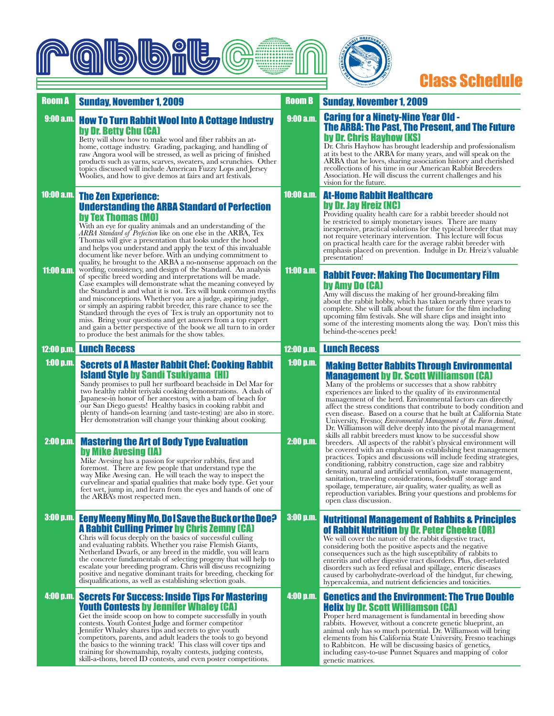



## Class Schedule

#### Making Better Rabbits Through Environmental Management by Dr. Scott Williamson (CA) Many of the problems or successes that a show rabbitry experiences are linked to the quality of its environmental management of the herd. Environmental factors can directly affect the stress conditions that contribute to body condition and even disease. Based on a course that he built at California State University, Fresno; *Environmental Management of the Farm Animal*, Dr. Williamson will delve deeply into the pivotal management skills all rabbit breeders must know to be successful show breeders. All aspects of the rabbit's physical environment will be covered with an emphasis on establishing best management practices. Topics and discussions will include feeding strategies, conditioning, rabbitry construction, cage size and rabbitry density, natural and artificial ventilation, waste management, sanitation, traveling considerations, foodstuff storage and spoilage, temperature, air quality, water quality, as well as reproduction variables. Bring your questions and problems for open class discussion. Room A Sunday, November 1, 2009 **Broom B** Room B Secrets of A Master Rabbit Chef: Cooking Rabbit Island Style by Sandi Tsukiyama (HI) Sandy promises to pull her surfboard beachside in Del Mar for two healthy rabbit teriyaki cooking demonstrations. A dash of Japanese-in honor of her ancestors, with a bam of beach for our San Diego guests! Healthy basics in cooking rabbit and plenty of hands-on learning (and taste-testing) are also in store. Her demonstration will change your thinking about cooking. Mastering the Art of Body Type Evaluation by Mike Avesing (IA) Mike Avesing has a passion for superior rabbits, first and foremost. There are few people that understand type the way Mike Avesing can. He will teach the way to inspect the curvelinear and spatial qualities that make body type. Get your feet wet, jump in, and learn from the eyes and hands of one of the ARBA's most respected men. **Lunch Recess Lunch Recess** Lunch Recess **Lunch Recess** Rabbit Fever: Making The Documentary Film by Amy Do (CA) Amy will discuss the making of her ground-breaking film about the rabbit hobby, which has taken nearly three years to complete. She will talk about the future for the film including upcoming film festivals. She will share clips and insight into some of the interesting moments along the way. Don't miss this behind-the-scenes peek! The Zen Experience: Understanding the ARBA Standard of Perfection by Tex Thomas (MO) With an eye for quality animals and an understanding of the *ARBA Standard of Perfection* like on one else in the ARBA, Tex Thomas will give a presentation that looks under the hood and helps you understand and apply the text of this invaluable document like never before. With an undying commitment to quality, he brought to the ARBA a no-nonsense approach on the wording, consistency, and design of the Standard. An analysis of specific breed wording and interpretations will be made. Case examples will demonstrate what the meaning conveyed by the Standard is and what it is not. Tex will bunk common myths and misconceptions. Whether you are a judge, aspiring judge, or simply an aspiring rabbit breeder, this rare chance to see the Standard through the eyes of Tex is truly an opportunity not to miss. Bring your questions and get answers from a top expert and gain a better perspective of the book we all turn to in order to produce the best animals for the show tables. How To Turn Rabbit Wool Into A Cottage Industry by Dr. Betty Chu (CA) Betty will show how to make wool and fiber rabbits an athome, cottage industry. Grading, packaging, and handling of raw Angora wool will be stressed, as well as pricing of finished products such as yarns, scarves, sweaters, and scrunchies. Other topics discussed will include American Fuzzy Lops and Jersey Woolies, and how to give demos at fairs and art festivals. Nutritional Management of Rabbits & Principles **of Rabbit Nutrition by Dr. Peter Cheeke (OR)**<br>We will cover the nature of the rabbit digestive tract, considering both the positive aspects and the negative consequences such as the high susceptibility of rabbits to enteritis and other digestive tract disorders. Plus, diet-related disorders such as feed refusal and spillage, enteric diseases caused by carbohydrate-overload of the hindgut, fur chewing, hypercalcemia, and nutrient deficiencies and toxicities. Eeny Meeny Miny Mo, Do I Save the Buck or the Doe? 3:00 p.m. A Rabbit Culling Primer by Chris Zemny (CA) Chris will focus deeply on the basics of successful culling and evaluating rabbits. Whether you raise Flemish Giants, Netherland Dwarfs, or any breed in the middle, you will learn the concrete fundamentals of selecting progeny that will help to escalate your breeding program. Chris will discuss recognizing positive and negative dominant traits for breeding, checking for disqualifications, as well as establishing selection goals. Caring for a Ninety-Nine Year Old - The ARBA: The Past, The Present, and The Future by Dr. Chris Hayhow (KS) Dr. Chris Hayhow has brought leadership and professionalism at its best to the ARBA for many years, and will speak on the ARBA that he loves, sharing association history and cherished recollections of his time in our American Rabbit Breeders Association. He will discuss the current challenges and his vision for the future. At-Home Rabbit Healthcare by Dr. Jay Hreiz (NC) Providing quality health care for a rabbit breeder should not be restricted to simply monetary issues. There are many inexpensive, practical solutions for the typical breeder that may not require veterinary intervention. This lecture will focus on practical health care for the average rabbit breeder with emphasis placed on prevention. Indulge in Dr. Hreiz's valuable presentation! Genetics and the Environment: The True Double Helix by Dr. Scott Williamson (CA) Proper herd management is fundamental in breeding show rabbits. However, without a concrete genetic blueprint, an animal only has so much potential. Dr. Williamson will bring elements from his California State University, Fresno teachings to Rabbitcon. He will be discussing basics of genetics, including easy-to-use Punnet Squares and mapping of color genetic matrices. **Sunday, November 1, 2009** 9:00 a.m. 10:00 a.m. 11:00 a.m. 12:00 p.m. 1:00 p.m. 2:00 p.m. 4:00 p.m. 9:00 a.m. 10:00 a.m. 11:00 a.m. 12:00 p.m. 1:00 p.m. 2:00 p.m. 3:00 p.m. 4:00 p.m. Secrets For Success: Inside Tips For Mastering Youth Contests by Jennifer Whaley (CA) Get the inside scoop on how to compete successfully in youth contests. Youth Contest Judge and former competitor Jennifer Whaley shares tips and secrets to give youth competitors, parents, and adult leaders the tools to go beyond the basics to the winning track! This class will cover tips and training for showmanship, royalty contests, judging contests, skill-a-thons, breed ID contests, and even poster competitions.